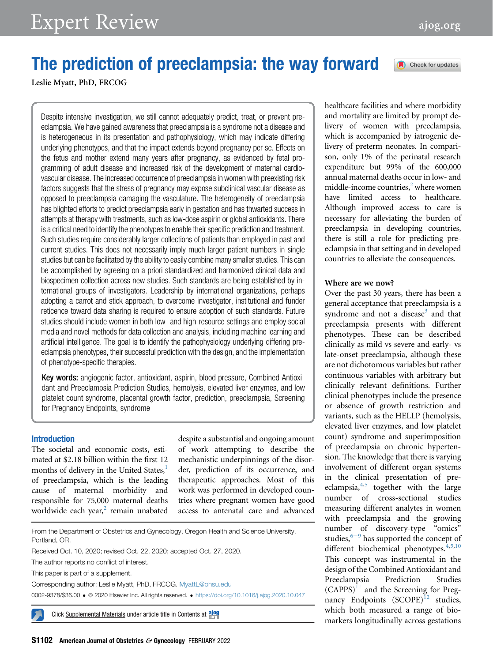Check for updates

# The prediction of preeclampsia: the way forward

Leslie Myatt, PhD, FRCOG

Despite intensive investigation, we still cannot adequately predict, treat, or prevent preeclampsia. We have gained awareness that preeclampsia is a syndrome not a disease and is heterogeneous in its presentation and pathophysiology, which may indicate differing underlying phenotypes, and that the impact extends beyond pregnancy per se. Effects on the fetus and mother extend many years after pregnancy, as evidenced by fetal programming of adult disease and increased risk of the development of maternal cardiovascular disease. The increased occurrence of preeclampsia in women with preexisting risk factors suggests that the stress of pregnancy may expose subclinical vascular disease as opposed to preeclampsia damaging the vasculature. The heterogeneity of preeclampsia has blighted efforts to predict preeclampsia early in gestation and has thwarted success in attempts at therapy with treatments, such as low-dose aspirin or global antioxidants. There is a critical need to identify the phenotypes to enable their specific prediction and treatment. Such studies require considerably larger collections of patients than employed in past and current studies. This does not necessarily imply much larger patient numbers in single studies but can be facilitated by the ability to easily combine many smaller studies. This can be accomplished by agreeing on a priori standardized and harmonized clinical data and biospecimen collection across new studies. Such standards are being established by international groups of investigators. Leadership by international organizations, perhaps adopting a carrot and stick approach, to overcome investigator, institutional and funder reticence toward data sharing is required to ensure adoption of such standards. Future studies should include women in both low- and high-resource settings and employ social media and novel methods for data collection and analysis, including machine learning and artificial intelligence. The goal is to identify the pathophysiology underlying differing preeclampsia phenotypes, their successful prediction with the design, and the implementation of phenotype-specific therapies.

Key words: angiogenic factor, antioxidant, aspirin, blood pressure, Combined Antioxidant and Preeclampsia Prediction Studies, hemolysis, elevated liver enzymes, and low platelet count syndrome, placental growth factor, prediction, preeclampsia, Screening for Pregnancy Endpoints, syndrome

### Introduction

The societal and economic costs, estimated at \$2.18 billion within the first 12 months of delivery in the United States,<sup>[1](#page-4-0)</sup> of preeclampsia, which is the leading cause of maternal morbidity and responsible for 75,000 maternal deaths worldwide each year, $2$  remain unabated

despite a substantial and ongoing amount of work attempting to describe the mechanistic underpinnings of the disorder, prediction of its occurrence, and therapeutic approaches. Most of this work was performed in developed countries where pregnant women have good access to antenatal care and advanced

From the Department of Obstetrics and Gynecology, Oregon Health and Science University, Portland, OR.

Received Oct. 10, 2020; revised Oct. 22, 2020; accepted Oct. 27, 2020.

The author reports no conflict of interest.

This paper is part of a supplement.

Corresponding author: Leslie Myatt, PhD, FRCOG. [MyattL@ohsu.edu](mailto:MyattL@ohsu.edu) 0002-9378/\$36.00 · @ 2020 Elsevier Inc. All rights reserved. · <https://doi.org/10.1016/j.ajog.2020.10.047>

healthcare facilities and where morbidity and mortality are limited by prompt delivery of women with preeclampsia, which is accompanied by iatrogenic delivery of preterm neonates. In comparison, only 1% of the perinatal research expenditure but 99% of the 600,000 annual maternal deaths occur in low- and middle-income countries, $2$  where women have limited access to healthcare. Although improved access to care is necessary for alleviating the burden of preeclampsia in developing countries, there is still a role for predicting preeclampsia in that setting and in developed countries to alleviate the consequences.

#### Where are we now?

Over the past 30 years, there has been a general acceptance that preeclampsia is a syndrome and not a disease<sup>[3](#page-4-2)</sup> and that preeclampsia presents with different phenotypes. These can be described clinically as mild vs severe and early- vs late-onset preeclampsia, although these are not dichotomous variables but rather continuous variables with arbitrary but clinically relevant definitions. Further clinical phenotypes include the presence or absence of growth restriction and variants, such as the HELLP (hemolysis, elevated liver enzymes, and low platelet count) syndrome and superimposition of preeclampsia on chronic hypertension. The knowledge that there is varying involvement of different organ systems in the clinical presentation of preeclampsia, $4,5$  $4,5$  together with the large number of cross-sectional studies measuring different analytes in women with preeclampsia and the growing number of discovery-type "omics" studi[e](#page-4-5)s,  $6-9$  has supported the concept of different biochemical phenotypes. $4,5,10$  $4,5,10$  $4,5,10$  $4,5,10$ This concept was instrumental in the design of the Combined Antioxidant and Preeclampsia Prediction Studies  $(CAPPS)^{11}$  $(CAPPS)^{11}$  $(CAPPS)^{11}$  and the Screening for Pregnancy Endpoints  $(SCOPE)^{12}$  $(SCOPE)^{12}$  $(SCOPE)^{12}$  studies, which both measured a range of bio-Click Supplemental Materials under article title in Contents at along examplemental Materials under article title in Contents at along expansion of the markers longitudinally across gestations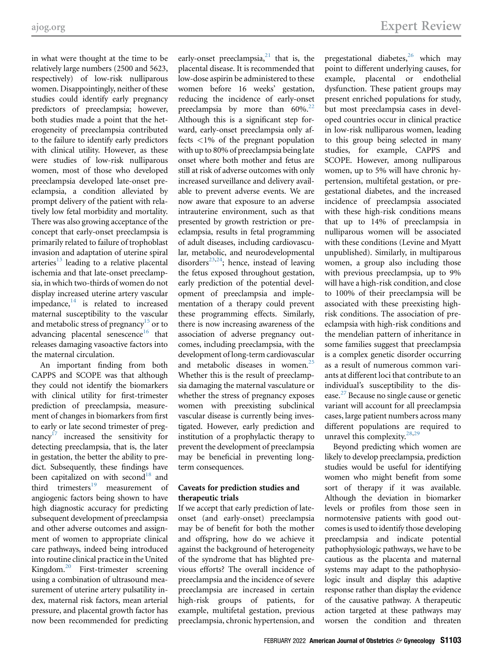in what were thought at the time to be relatively large numbers (2500 and 5623, respectively) of low-risk nulliparous women. Disappointingly, neither of these studies could identify early pregnancy predictors of preeclampsia; however, both studies made a point that the heterogeneity of preeclampsia contributed to the failure to identify early predictors with clinical utility. However, as these were studies of low-risk nulliparous women, most of those who developed preeclampsia developed late-onset preeclampsia, a condition alleviated by prompt delivery of the patient with relatively low fetal morbidity and mortality. There was also growing acceptance of the concept that early-onset preeclampsia is primarily related to failure of trophoblast invasion and adaptation of uterine spiral arteries $^{13}$  $^{13}$  $^{13}$  leading to a relative placental ischemia and that late-onset preeclampsia, in which two-thirds of women do not display increased uterine artery vascular  $impedance$ , $^{14}$  is related to increased maternal susceptibility to the vascular and metabolic stress of pregnancy<sup>15</sup> or to advancing placental senescence $16$  that releases damaging vasoactive factors into the maternal circulation.

An important finding from both CAPPS and SCOPE was that although they could not identify the biomarkers with clinical utility for first-trimester prediction of preeclampsia, measurement of changes in biomarkers from first to early or late second trimester of pregnancy $17$  increased the sensitivity for detecting preeclampsia, that is, the later in gestation, the better the ability to predict. Subsequently, these findings have been capitalized on with second<sup>18</sup> and third trimesters $19$  measurement of angiogenic factors being shown to have high diagnostic accuracy for predicting subsequent development of preeclampsia and other adverse outcomes and assignment of women to appropriate clinical care pathways, indeed being introduced into routine clinical practice in the United Kingdom[.20](#page-4-16) First-trimester screening using a combination of ultrasound measurement of uterine artery pulsatility index, maternal risk factors, mean arterial pressure, and placental growth factor has now been recommended for predicting

early-onset preeclampsia, $^{21}$  $^{21}$  $^{21}$  that is, the placental disease. It is recommended that low-dose aspirin be administered to these women before 16 weeks' gestation, reducing the incidence of early-onset preeclampsia by more than  $60\%$ .<sup>[22](#page-4-18)</sup> Although this is a significant step forward, early-onset preeclampsia only affects <1% of the pregnant population with up to 80% of preeclampsia being late onset where both mother and fetus are still at risk of adverse outcomes with only increased surveillance and delivery available to prevent adverse events. We are now aware that exposure to an adverse intrauterine environment, such as that presented by growth restriction or preeclampsia, results in fetal programming of adult diseases, including cardiovascular, metabolic, and neurodevelopmental disorders<sup>23,24</sup>; hence, instead of leaving the fetus exposed throughout gestation, early prediction of the potential development of preeclampsia and implementation of a therapy could prevent these programming effects. Similarly, there is now increasing awareness of the association of adverse pregnancy outcomes, including preeclampsia, with the development of long-term cardiovascular and metabolic diseases in women.<sup>[25](#page-4-21)</sup> Whether this is the result of preeclampsia damaging the maternal vasculature or whether the stress of pregnancy exposes women with preexisting subclinical vascular disease is currently being investigated. However, early prediction and institution of a prophylactic therapy to prevent the development of preeclampsia may be beneficial in preventing longterm consequences.

# Caveats for prediction studies and therapeutic trials

If we accept that early prediction of lateonset (and early-onset) preeclampsia may be of benefit for both the mother and offspring, how do we achieve it against the background of heterogeneity of the syndrome that has blighted previous efforts? The overall incidence of preeclampsia and the incidence of severe preeclampsia are increased in certain high-risk groups of patients, for example, multifetal gestation, previous preeclampsia, chronic hypertension, and

pregestational diabetes, $26$  which may point to different underlying causes, for example, placental or endothelial dysfunction. These patient groups may present enriched populations for study, but most preeclampsia cases in developed countries occur in clinical practice in low-risk nulliparous women, leading to this group being selected in many studies, for example, CAPPS and SCOPE. However, among nulliparous women, up to 5% will have chronic hypertension, multifetal gestation, or pregestational diabetes, and the increased incidence of preeclampsia associated with these high-risk conditions means that up to 14% of preeclampsia in nulliparous women will be associated with these conditions (Levine and Myatt unpublished). Similarly, in multiparous women, a group also including those with previous preeclampsia, up to 9% will have a high-risk condition, and close to 100% of their preeclampsia will be associated with these preexisting highrisk conditions. The association of preeclampsia with high-risk conditions and the mendelian pattern of inheritance in some families suggest that preeclampsia is a complex genetic disorder occurring as a result of numerous common variants at different loci that contribute to an individual's susceptibility to the disease[.27](#page-4-23) Because no single cause or genetic variant will account for all preeclampsia cases, large patient numbers across many different populations are required to unravel this complexity.<sup>[28,](#page-4-24)[29](#page-4-25)</sup>

Beyond predicting which women are likely to develop preeclampsia, prediction studies would be useful for identifying women who might benefit from some sort of therapy if it was available. Although the deviation in biomarker levels or profiles from those seen in normotensive patients with good outcomes is used to identify those developing preeclampsia and indicate potential pathophysiologic pathways, we have to be cautious as the placenta and maternal systems may adapt to the pathophysiologic insult and display this adaptive response rather than display the evidence of the causative pathway. A therapeutic action targeted at these pathways may worsen the condition and threaten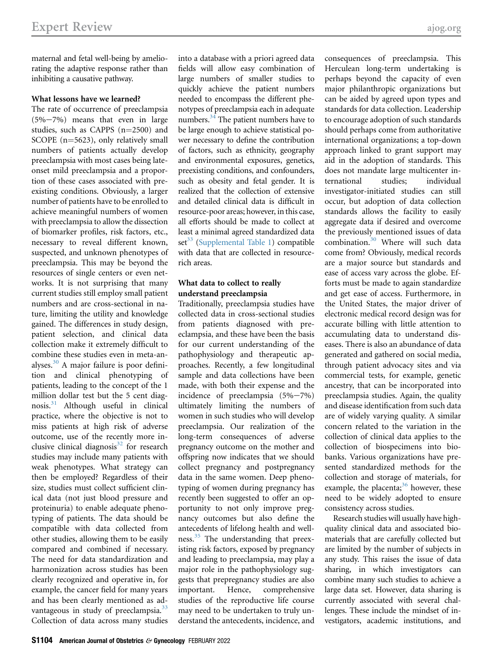maternal and fetal well-being by ameliorating the adaptive response rather than inhibiting a causative pathway.

# What lessons have we learned?

The rate of occurrence of preeclampsia  $(5\% - 7\%)$  means that even in large studies, such as CAPPS  $(n=2500)$  and SCOPE  $(n=5623)$ , only relatively small numbers of patients actually develop preeclampsia with most cases being lateonset mild preeclampsia and a proportion of these cases associated with preexisting conditions. Obviously, a larger number of patients have to be enrolled to achieve meaningful numbers of women with preeclampsia to allow the dissection of biomarker profiles, risk factors, etc., necessary to reveal different known, suspected, and unknown phenotypes of preeclampsia. This may be beyond the resources of single centers or even networks. It is not surprising that many current studies still employ small patient numbers and are cross-sectional in nature, limiting the utility and knowledge gained. The differences in study design, patient selection, and clinical data collection make it extremely difficult to combine these studies even in meta-analyses.[30](#page-4-26) A major failure is poor definition and clinical phenotyping of patients, leading to the concept of the 1 million dollar test but the 5 cent diagnosis[.31](#page-4-27) Although useful in clinical practice, where the objective is not to miss patients at high risk of adverse outcome, use of the recently more inclusive clinical diagnosis $32$  for research studies may include many patients with weak phenotypes. What strategy can then be employed? Regardless of their size, studies must collect sufficient clinical data (not just blood pressure and proteinuria) to enable adequate phenotyping of patients. The data should be compatible with data collected from other studies, allowing them to be easily compared and combined if necessary. The need for data standardization and harmonization across studies has been clearly recognized and operative in, for example, the cancer field for many years and has been clearly mentioned as advantageous in study of preeclampsia. $33$ Collection of data across many studies

into a database with a priori agreed data fields will allow easy combination of large numbers of smaller studies to quickly achieve the patient numbers needed to encompass the different phenotypes of preeclampsia each in adequate numbers[.34](#page-4-30) The patient numbers have to be large enough to achieve statistical power necessary to define the contribution of factors, such as ethnicity, geography and environmental exposures, genetics, preexisting conditions, and confounders, such as obesity and fetal gender. It is realized that the collection of extensive and detailed clinical data is difficult in resource-poor areas; however, in this case, all efforts should be made to collect at least a minimal agreed standardized data  $set^{33}$  $set^{33}$  $set^{33}$  [\(Supplemental Table 1\)](#page-6-0) compatible with data that are collected in resourcerich areas.

# What data to collect to really understand preeclampsia

Traditionally, preeclampsia studies have collected data in cross-sectional studies from patients diagnosed with preeclampsia, and these have been the basis for our current understanding of the pathophysiology and therapeutic approaches. Recently, a few longitudinal sample and data collections have been made, with both their expense and the incidence of preeclampsia  $(5\% - 7\%)$ ultimately limiting the numbers of women in such studies who will develop preeclampsia. Our realization of the long-term consequences of adverse pregnancy outcome on the mother and offspring now indicates that we should collect pregnancy and postpregnancy data in the same women. Deep phenotyping of women during pregnancy has recently been suggested to offer an opportunity to not only improve pregnancy outcomes but also define the antecedents of lifelong health and well-ness.<sup>[35](#page-4-31)</sup> The understanding that preexisting risk factors, exposed by pregnancy and leading to preeclampsia, may play a major role in the pathophysiology suggests that prepregnancy studies are also important. Hence, comprehensive studies of the reproductive life course may need to be undertaken to truly understand the antecedents, incidence, and

Herculean long-term undertaking is perhaps beyond the capacity of even major philanthropic organizations but can be aided by agreed upon types and standards for data collection. Leadership to encourage adoption of such standards should perhaps come from authoritative international organizations; a top-down approach linked to grant support may aid in the adoption of standards. This does not mandate large multicenter international studies; individual investigator-initiated studies can still occur, but adoption of data collection standards allows the facility to easily aggregate data if desired and overcome the previously mentioned issues of data combination.<sup>[30](#page-4-26)</sup> Where will such data come from? Obviously, medical records are a major source but standards and ease of access vary across the globe. Efforts must be made to again standardize and get ease of access. Furthermore, in the United States, the major driver of electronic medical record design was for accurate billing with little attention to accumulating data to understand diseases. There is also an abundance of data generated and gathered on social media, through patient advocacy sites and via commercial tests, for example, genetic ancestry, that can be incorporated into preeclampsia studies. Again, the quality and disease identification from such data are of widely varying quality. A similar concern related to the variation in the collection of clinical data applies to the collection of biospecimens into biobanks. Various organizations have presented standardized methods for the collection and storage of materials, for example, the placenta; $36$  however, these need to be widely adopted to ensure consistency across studies.

consequences of preeclampsia. This

Research studies will usually have highquality clinical data and associated biomaterials that are carefully collected but are limited by the number of subjects in any study. This raises the issue of data sharing, in which investigators can combine many such studies to achieve a large data set. However, data sharing is currently associated with several challenges. These include the mindset of investigators, academic institutions, and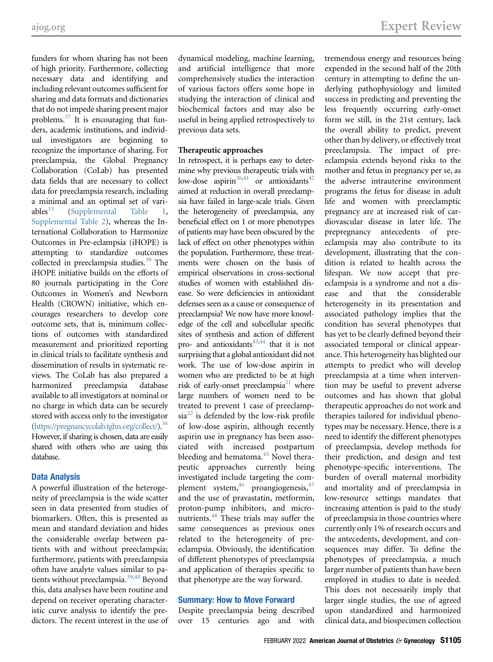funders for whom sharing has not been of high priority. Furthermore, collecting necessary data and identifying and including relevant outcomes sufficient for sharing and data formats and dictionaries that do not impede sharing present major problems.[37](#page-4-33) It is encouraging that funders, academic institutions, and individual investigators are beginning to recognize the importance of sharing. For preeclampsia, the Global Pregnancy Collaboration (CoLab) has presented data fields that are necessary to collect data for preeclampsia research, including a minimal and an optimal set of vari-ables<sup>33</sup> ([Supplemental Table 1,](#page-6-0) [Supplemental Table 2](#page-8-0)), whereas the International Collaboration to Harmonize Outcomes in Pre-eclampsia (iHOPE) is attempting to standardize outcomes collected in preeclampsia studies.<sup>38</sup> The iHOPE initiative builds on the efforts of 80 journals participating in the Core Outcomes in Women's and Newborn Health (CROWN) initiative, which encourages researchers to develop core outcome sets, that is, minimum collections of outcomes with standardized measurement and prioritized reporting in clinical trials to facilitate synthesis and dissemination of results in systematic reviews. The CoLab has also prepared a harmonized preeclampsia database available to all investigators at nominal or no charge in which data can be securely stored with access only to the investigator [\(https://pregnancycolab.tghn.org/collect/\)](https://pregnancycolab.tghn.org/collect/)[.34](#page-4-30) However, if sharing is chosen, data are easily shared with others who are using this database.

# Data Analysis

A powerful illustration of the heterogeneity of preeclampsia is the wide scatter seen in data presented from studies of biomarkers. Often, this is presented as mean and standard deviation and hides the considerable overlap between patients with and without preeclampsia; furthermore, patients with preeclampsia often have analyte values similar to pa-tients without preeclampsia.<sup>[39](#page-5-0)[,40](#page-5-1)</sup> Beyond this, data analyses have been routine and depend on receiver operating characteristic curve analysis to identify the predictors. The recent interest in the use of dynamical modeling, machine learning, and artificial intelligence that more comprehensively studies the interaction of various factors offers some hope in studying the interaction of clinical and biochemical factors and may also be useful in being applied retrospectively to previous data sets.

#### Therapeutic approaches

In retrospect, it is perhaps easy to determine why previous therapeutic trials with low-dose aspirin<sup>26[,41](#page-5-2)</sup> or antioxidants<sup>[42](#page-5-3)</sup> aimed at reduction in overall preeclampsia have failed in large-scale trials. Given the heterogeneity of preeclampsia, any beneficial effect on 1 or more phenotypes of patients may have been obscured by the lack of effect on other phenotypes within the population. Furthermore, these treatments were chosen on the basis of empirical observations in cross-sectional studies of women with established disease. So were deficiencies in antioxidant defenses seen as a cause or consequence of preeclampsia? We now have more knowledge of the cell and subcellular specific sites of synthesis and action of different pro- and antioxidants<sup>43[,44](#page-5-5)</sup> that it is not surprising that a global antioxidant did not work. The use of low-dose aspirin in women who are predicted to be at high risk of early-onset preeclampsia<sup>21</sup> where large numbers of women need to be treated to prevent 1 case of preeclamp- $sia^{22}$  $sia^{22}$  $sia^{22}$  is defended by the low-risk profile of low-dose aspirin, although recently aspirin use in pregnancy has been associated with increased postpartum bleeding and hematoma.<sup>45</sup> Novel therapeutic approaches currently being investigated include targeting the complement system, $46$  proangiogenesis, $47$ and the use of pravastatin, metformin, proton-pump inhibitors, and micro-nutrients.<sup>[48](#page-5-9)</sup> These trials may suffer the same consequences as previous ones related to the heterogeneity of preeclampsia. Obviously, the identification of different phenotypes of preeclampsia and application of therapies specific to that phenotype are the way forward.

# Summary: How to Move Forward

Despite preeclampsia being described over 15 centuries ago and with

tremendous energy and resources being expended in the second half of the 20th century in attempting to define the underlying pathophysiology and limited success in predicting and preventing the less frequently occurring early-onset form we still, in the 21st century, lack the overall ability to predict, prevent other than by delivery, or effectively treat preeclampsia. The impact of preeclampsia extends beyond risks to the mother and fetus in pregnancy per se, as the adverse intrauterine environment programs the fetus for disease in adult life and women with preeclamptic pregnancy are at increased risk of cardiovascular disease in later life. The prepregnancy antecedents of preeclampsia may also contribute to its development, illustrating that the condition is related to health across the lifespan. We now accept that preeclampsia is a syndrome and not a disease and that the considerable heterogeneity in its presentation and associated pathology implies that the condition has several phenotypes that has yet to be clearly defined beyond their associated temporal or clinical appearance. This heterogeneity has blighted our attempts to predict who will develop preeclampsia at a time when intervention may be useful to prevent adverse outcomes and has shown that global therapeutic approaches do not work and therapies tailored for individual phenotypes may be necessary. Hence, there is a need to identify the different phenotypes of preeclampsia, develop methods for their prediction, and design and test phenotype-specific interventions. The burden of overall maternal morbidity and mortality and of preeclampsia in low-resource settings mandates that increasing attention is paid to the study of preeclampsia in those countries where currently only 1% of research occurs and the antecedents, development, and consequences may differ. To define the phenotypes of preeclampsia, a much larger number of patients than have been employed in studies to date is needed. This does not necessarily imply that larger single studies, the use of agreed upon standardized and harmonized clinical data, and biospecimen collection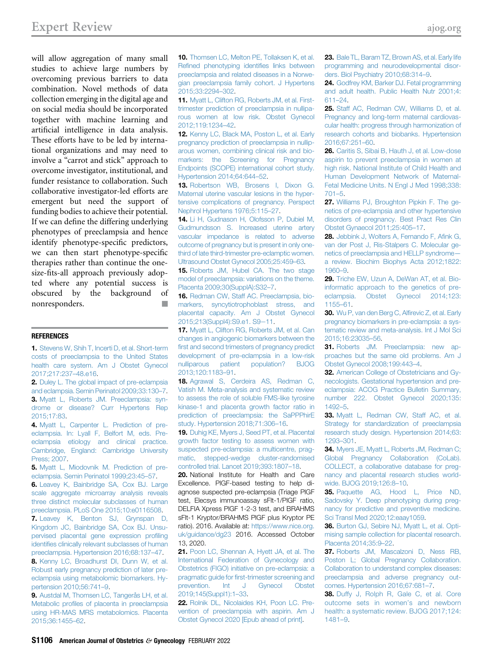will allow aggregation of many small studies to achieve large numbers by overcoming previous barriers to data combination. Novel methods of data collection emerging in the digital age and on social media should be incorporated together with machine learning and artificial intelligence in data analysis. These efforts have to be led by international organizations and may need to involve a "carrot and stick" approach to overcome investigator, institutional, and funder resistance to collaboration. Such collaborative investigator-led efforts are emergent but need the support of funding bodies to achieve their potential. If we can define the differing underlying phenotypes of preeclampsia and hence identify phenotype-specific predictors, we can then start phenotype-specific therapies rather than continue the onesize-fits-all approach previously adopted where any potential success is obscured by the background of nonresponders.

#### <span id="page-4-0"></span>**REFERENCES**

1. [Stevens W, Shih T, Incerti D, et al. Short-term](http://refhub.elsevier.com/S0002-9378(20)31277-1/sref1) [costs of preeclampsia to the United States](http://refhub.elsevier.com/S0002-9378(20)31277-1/sref1) [health care system. Am J Obstet Gynecol](http://refhub.elsevier.com/S0002-9378(20)31277-1/sref1) [2017;217:237](http://refhub.elsevier.com/S0002-9378(20)31277-1/sref1)–48.e16.

<span id="page-4-2"></span><span id="page-4-1"></span>2. [Duley L. The global impact of pre-eclampsia](http://refhub.elsevier.com/S0002-9378(20)31277-1/sref2) [and eclampsia. Semin Perinatol 2009;33:130](http://refhub.elsevier.com/S0002-9378(20)31277-1/sref2)–7. 3. [Myatt L, Roberts JM. Preeclampsia: syn](http://refhub.elsevier.com/S0002-9378(20)31277-1/sref3)[drome or disease? Curr Hypertens Rep](http://refhub.elsevier.com/S0002-9378(20)31277-1/sref3) [2015;17:83](http://refhub.elsevier.com/S0002-9378(20)31277-1/sref3).

<span id="page-4-3"></span>4. [Myatt L, Carpenter L. Prediction of pre](http://refhub.elsevier.com/S0002-9378(20)31277-1/sref4)[eclampsia. In: Lyall F, Belfort M, eds. Pre](http://refhub.elsevier.com/S0002-9378(20)31277-1/sref4)[eclampsia etiology and clinical practice.](http://refhub.elsevier.com/S0002-9378(20)31277-1/sref4) [Cambridge, England: Cambridge University](http://refhub.elsevier.com/S0002-9378(20)31277-1/sref4) [Press; 2007.](http://refhub.elsevier.com/S0002-9378(20)31277-1/sref4)

<span id="page-4-5"></span><span id="page-4-4"></span>5. [Myatt L, Miodovnik M. Prediction of pre](http://refhub.elsevier.com/S0002-9378(20)31277-1/sref5)[eclampsia. Semin Perinatol 1999;23:45](http://refhub.elsevier.com/S0002-9378(20)31277-1/sref5)–57.

6. [Leavey K, Bainbridge SA, Cox BJ. Large](http://refhub.elsevier.com/S0002-9378(20)31277-1/sref6) [scale aggregate microarray analysis reveals](http://refhub.elsevier.com/S0002-9378(20)31277-1/sref6) [three distinct molecular subclasses of human](http://refhub.elsevier.com/S0002-9378(20)31277-1/sref6) [preeclampsia. PLoS One 2015;10:e0116508.](http://refhub.elsevier.com/S0002-9378(20)31277-1/sref6)

7. [Leavey K, Benton SJ, Grynspan D,](http://refhub.elsevier.com/S0002-9378(20)31277-1/sref7) [Kingdom JC, Bainbridge SA, Cox BJ. Unsu](http://refhub.elsevier.com/S0002-9378(20)31277-1/sref7)[pervised placental gene expression pro](http://refhub.elsevier.com/S0002-9378(20)31277-1/sref7)filing identifi[es clinically relevant subclasses of human](http://refhub.elsevier.com/S0002-9378(20)31277-1/sref7) [preeclampsia. Hypertension 2016;68:137](http://refhub.elsevier.com/S0002-9378(20)31277-1/sref7)–47.

8. [Kenny LC, Broadhurst DI, Dunn W, et al.](http://refhub.elsevier.com/S0002-9378(20)31277-1/sref8) [Robust early pregnancy prediction of later pre](http://refhub.elsevier.com/S0002-9378(20)31277-1/sref8)[eclampsia using metabolomic biomarkers. Hy](http://refhub.elsevier.com/S0002-9378(20)31277-1/sref8)[pertension 2010;56:741](http://refhub.elsevier.com/S0002-9378(20)31277-1/sref8)–9.

9. [Austdal M, Thomsen LC, Tangerås LH, et al.](http://refhub.elsevier.com/S0002-9378(20)31277-1/sref9) Metabolic profi[les of placenta in preeclampsia](http://refhub.elsevier.com/S0002-9378(20)31277-1/sref9) [using HR-MAS MRS metabolomics. Placenta](http://refhub.elsevier.com/S0002-9378(20)31277-1/sref9) [2015;36:1455](http://refhub.elsevier.com/S0002-9378(20)31277-1/sref9)–62.

<span id="page-4-6"></span>10. [Thomsen LC, Melton PE, Tollaksen K, et al.](http://refhub.elsevier.com/S0002-9378(20)31277-1/sref10) Refi[ned phenotyping identi](http://refhub.elsevier.com/S0002-9378(20)31277-1/sref10)fies links between [preeclampsia and related diseases in a Norwe](http://refhub.elsevier.com/S0002-9378(20)31277-1/sref10)[gian preeclampsia family cohort. J Hypertens](http://refhub.elsevier.com/S0002-9378(20)31277-1/sref10) [2015;33:2294](http://refhub.elsevier.com/S0002-9378(20)31277-1/sref10)–302.

<span id="page-4-7"></span>11. [Myatt L, Clifton RG, Roberts JM, et al. First](http://refhub.elsevier.com/S0002-9378(20)31277-1/sref11)[trimester prediction of preeclampsia in nullipa](http://refhub.elsevier.com/S0002-9378(20)31277-1/sref11)[rous women at low risk. Obstet Gynecol](http://refhub.elsevier.com/S0002-9378(20)31277-1/sref11) [2012;119:1234](http://refhub.elsevier.com/S0002-9378(20)31277-1/sref11)–42.

<span id="page-4-8"></span>12. [Kenny LC, Black MA, Poston L, et al. Early](http://refhub.elsevier.com/S0002-9378(20)31277-1/sref12) [pregnancy prediction of preeclampsia in nullip](http://refhub.elsevier.com/S0002-9378(20)31277-1/sref12)[arous women, combining clinical risk and bio](http://refhub.elsevier.com/S0002-9378(20)31277-1/sref12)[markers: the Screening for Pregnancy](http://refhub.elsevier.com/S0002-9378(20)31277-1/sref12) [Endpoints \(SCOPE\) international cohort study.](http://refhub.elsevier.com/S0002-9378(20)31277-1/sref12) [Hypertension 2014;64:644](http://refhub.elsevier.com/S0002-9378(20)31277-1/sref12)–52.

<span id="page-4-9"></span>13. [Robertson WB, Brosens I, Dixon G.](http://refhub.elsevier.com/S0002-9378(20)31277-1/sref13) [Maternal uterine vascular lesions in the hyper](http://refhub.elsevier.com/S0002-9378(20)31277-1/sref13)[tensive complications of pregnancy. Perspect](http://refhub.elsevier.com/S0002-9378(20)31277-1/sref13) [Nephrol Hypertens 1976;5:115](http://refhub.elsevier.com/S0002-9378(20)31277-1/sref13)–27.

<span id="page-4-10"></span>14. [Li H, Gudnason H, Olofsson P, Dubiel M,](http://refhub.elsevier.com/S0002-9378(20)31277-1/sref14) [Gudmundsson S. Increased uterine artery](http://refhub.elsevier.com/S0002-9378(20)31277-1/sref14) [vascular impedance is related to adverse](http://refhub.elsevier.com/S0002-9378(20)31277-1/sref14) [outcome of pregnancy but is present in only one](http://refhub.elsevier.com/S0002-9378(20)31277-1/sref14)[third of late third-trimester pre-eclamptic women.](http://refhub.elsevier.com/S0002-9378(20)31277-1/sref14) [Ultrasound Obstet Gynecol 2005;25:459](http://refhub.elsevier.com/S0002-9378(20)31277-1/sref14)–63.

<span id="page-4-11"></span>15. [Roberts JM, Hubel CA. The two stage](http://refhub.elsevier.com/S0002-9378(20)31277-1/sref15) [model of preeclampsia: variations on the theme.](http://refhub.elsevier.com/S0002-9378(20)31277-1/sref15) [Placenta 2009;30\(SupplA\):S32](http://refhub.elsevier.com/S0002-9378(20)31277-1/sref15)–7.

<span id="page-4-12"></span>16. [Redman CW, Staff AC. Preeclampsia, bio](http://refhub.elsevier.com/S0002-9378(20)31277-1/sref16)[markers, syncytiotrophoblast stress, and](http://refhub.elsevier.com/S0002-9378(20)31277-1/sref16) [placental capacity. Am J Obstet Gynecol](http://refhub.elsevier.com/S0002-9378(20)31277-1/sref16) [2015;213\(Suppl4\):S9.e1. S9](http://refhub.elsevier.com/S0002-9378(20)31277-1/sref16)-11.

<span id="page-4-13"></span>17. [Myatt L, Clifton RG, Roberts JM, et al. Can](http://refhub.elsevier.com/S0002-9378(20)31277-1/sref17) [changes in angiogenic biomarkers between the](http://refhub.elsevier.com/S0002-9378(20)31277-1/sref17) fi[rst and second trimesters of pregnancy predict](http://refhub.elsevier.com/S0002-9378(20)31277-1/sref17) [development of pre-eclampsia in a low-risk](http://refhub.elsevier.com/S0002-9378(20)31277-1/sref17) [nulliparous patient population? BJOG](http://refhub.elsevier.com/S0002-9378(20)31277-1/sref17) [2013;120:1183](http://refhub.elsevier.com/S0002-9378(20)31277-1/sref17)–91.

<span id="page-4-14"></span>18. [Agrawal S, Cerdeira AS, Redman C,](http://refhub.elsevier.com/S0002-9378(20)31277-1/sref18) [Vatish M. Meta-analysis and systematic review](http://refhub.elsevier.com/S0002-9378(20)31277-1/sref18) [to assess the role of soluble FMS-like tyrosine](http://refhub.elsevier.com/S0002-9378(20)31277-1/sref18) [kinase-1 and placenta growth factor ratio in](http://refhub.elsevier.com/S0002-9378(20)31277-1/sref18) [prediction of preeclampsia: the SaPPPhirE](http://refhub.elsevier.com/S0002-9378(20)31277-1/sref18) [study. Hypertension 2018;71:306](http://refhub.elsevier.com/S0002-9378(20)31277-1/sref18)–16.

<span id="page-4-15"></span>19. [Duhig KE, Myers J, Seed PT, et al. Placental](http://refhub.elsevier.com/S0002-9378(20)31277-1/sref19) [growth factor testing to assess women with](http://refhub.elsevier.com/S0002-9378(20)31277-1/sref19) [suspected pre-eclampsia: a multicentre, prag](http://refhub.elsevier.com/S0002-9378(20)31277-1/sref19)[matic, stepped-wedge cluster-randomised](http://refhub.elsevier.com/S0002-9378(20)31277-1/sref19) [controlled trial. Lancet 2019;393:1807](http://refhub.elsevier.com/S0002-9378(20)31277-1/sref19)–18.

<span id="page-4-16"></span>20. National Institute for Health and Care Excellence. PlGF-based testing to help diagnose suspected pre-eclampsia (Triage PlGF test, Elecsys immunoassay sFlt-1/PlGF ratio, DELFIA Xpress PlGF 1-2-3 test, and BRAHMS sFlt-1 Kryptor/BRAHMS PlGF plus Kryptor PE ratio). 2016. Available at: [https://www.nice.org.](https://www.nice.org.uk/guidance/dg23) [uk/guidance/dg23](https://www.nice.org.uk/guidance/dg23) 2016. Accessed October 13, 2020.

<span id="page-4-17"></span>21. [Poon LC, Shennan A, Hyett JA, et al. The](http://refhub.elsevier.com/S0002-9378(20)31277-1/sref21) [International Federation of Gynecology and](http://refhub.elsevier.com/S0002-9378(20)31277-1/sref21) [Obstetrics \(FIGO\) initiative on pre-eclampsia: a](http://refhub.elsevier.com/S0002-9378(20)31277-1/sref21) pragmatic guide for fi[rst-trimester screening and](http://refhub.elsevier.com/S0002-9378(20)31277-1/sref21) [prevention. Int J Gynecol Obstet](http://refhub.elsevier.com/S0002-9378(20)31277-1/sref21) [2019;145\(Suppl1\):1](http://refhub.elsevier.com/S0002-9378(20)31277-1/sref21)–33.

<span id="page-4-18"></span>22. [Rolnik DL, Nicolaides KH, Poon LC. Pre](http://refhub.elsevier.com/S0002-9378(20)31277-1/sref22)[vention of preeclampsia with aspirin. Am J](http://refhub.elsevier.com/S0002-9378(20)31277-1/sref22) [Obstet Gynecol 2020 \[Epub ahead of print\]](http://refhub.elsevier.com/S0002-9378(20)31277-1/sref22).

<span id="page-4-19"></span>23. [Bale TL, Baram TZ, Brown AS, et al. Early life](http://refhub.elsevier.com/S0002-9378(20)31277-1/sref23) [programming and neurodevelopmental disor](http://refhub.elsevier.com/S0002-9378(20)31277-1/sref23)[ders. Biol Psychiatry 2010;68:314](http://refhub.elsevier.com/S0002-9378(20)31277-1/sref23)–9.

<span id="page-4-20"></span>24. [Godfrey KM, Barker DJ. Fetal programming](http://refhub.elsevier.com/S0002-9378(20)31277-1/sref24) [and adult health. Public Health Nutr 2001;4:](http://refhub.elsevier.com/S0002-9378(20)31277-1/sref24) [611](http://refhub.elsevier.com/S0002-9378(20)31277-1/sref24)–24.

<span id="page-4-21"></span>25. [Staff AC, Redman CW, Williams D, et al.](http://refhub.elsevier.com/S0002-9378(20)31277-1/sref25) [Pregnancy and long-term maternal cardiovas](http://refhub.elsevier.com/S0002-9378(20)31277-1/sref25)[cular health: progress through harmonization of](http://refhub.elsevier.com/S0002-9378(20)31277-1/sref25) [research cohorts and biobanks. Hypertension](http://refhub.elsevier.com/S0002-9378(20)31277-1/sref25) [2016;67:251](http://refhub.elsevier.com/S0002-9378(20)31277-1/sref25)–60.

<span id="page-4-22"></span>26. [Caritis S, Sibai B, Hauth J, et al. Low-dose](http://refhub.elsevier.com/S0002-9378(20)31277-1/sref26) [aspirin to prevent preeclampsia in women at](http://refhub.elsevier.com/S0002-9378(20)31277-1/sref26) [high risk. National Institute of Child Health and](http://refhub.elsevier.com/S0002-9378(20)31277-1/sref26) [Human Development Network of Maternal-](http://refhub.elsevier.com/S0002-9378(20)31277-1/sref26)[Fetal Medicine Units. N Engl J Med 1998;338:](http://refhub.elsevier.com/S0002-9378(20)31277-1/sref26) [701](http://refhub.elsevier.com/S0002-9378(20)31277-1/sref26)–5.

<span id="page-4-23"></span>27. [Williams PJ, Broughton Pipkin F. The ge](http://refhub.elsevier.com/S0002-9378(20)31277-1/sref27)[netics of pre-eclampsia and other hypertensive](http://refhub.elsevier.com/S0002-9378(20)31277-1/sref27) [disorders of pregnancy. Best Pract Res Clin](http://refhub.elsevier.com/S0002-9378(20)31277-1/sref27) [Obstet Gynaecol 2011;25:405](http://refhub.elsevier.com/S0002-9378(20)31277-1/sref27)–17.

<span id="page-4-24"></span>28. [Jebbink J, Wolters A, Fernando F, A](http://refhub.elsevier.com/S0002-9378(20)31277-1/sref28)fink G, [van der Post J, Ris-Stalpers C. Molecular ge](http://refhub.elsevier.com/S0002-9378(20)31277-1/sref28)[netics of preeclampsia and HELLP syndrome](http://refhub.elsevier.com/S0002-9378(20)31277-1/sref28) [a review. Biochim Biophys Acta 2012;1822:](http://refhub.elsevier.com/S0002-9378(20)31277-1/sref28)  $1960 - 9$  $1960 - 9$ 

<span id="page-4-25"></span>29. [Triche EW, Uzun A, DeWan AT, et al. Bio](http://refhub.elsevier.com/S0002-9378(20)31277-1/sref29)[informatic approach to the genetics of pre](http://refhub.elsevier.com/S0002-9378(20)31277-1/sref29)[eclampsia. Obstet Gynecol 2014;123:](http://refhub.elsevier.com/S0002-9378(20)31277-1/sref29) [1155](http://refhub.elsevier.com/S0002-9378(20)31277-1/sref29)–61.

<span id="page-4-26"></span>30. [Wu P, van den Berg C, Al](http://refhub.elsevier.com/S0002-9378(20)31277-1/sref30)firevic Z, et al. Early [pregnancy biomarkers in pre-eclampsia: a sys](http://refhub.elsevier.com/S0002-9378(20)31277-1/sref30)[tematic review and meta-analysis. Int J Mol Sci](http://refhub.elsevier.com/S0002-9378(20)31277-1/sref30) [2015;16:23035](http://refhub.elsevier.com/S0002-9378(20)31277-1/sref30)–56.

<span id="page-4-27"></span>31. [Roberts JM. Preeclampsia: new ap](http://refhub.elsevier.com/S0002-9378(20)31277-1/sref31)[proaches but the same old problems. Am J](http://refhub.elsevier.com/S0002-9378(20)31277-1/sref31) [Obstet Gynecol 2008;199:443](http://refhub.elsevier.com/S0002-9378(20)31277-1/sref31)–4.

<span id="page-4-28"></span>32. [American College of Obstetricians and Gy](http://refhub.elsevier.com/S0002-9378(20)31277-1/sref32)[necologists. Gestational hypertension and pre](http://refhub.elsevier.com/S0002-9378(20)31277-1/sref32)[eclampsia: ACOG Practice Bulletin Summary,](http://refhub.elsevier.com/S0002-9378(20)31277-1/sref32) [number 222. Obstet Gynecol 2020;135:](http://refhub.elsevier.com/S0002-9378(20)31277-1/sref32) [1492](http://refhub.elsevier.com/S0002-9378(20)31277-1/sref32)–5.

<span id="page-4-29"></span>33. [Myatt L, Redman CW, Staff AC, et al.](http://refhub.elsevier.com/S0002-9378(20)31277-1/sref33) [Strategy for standardization of preeclampsia](http://refhub.elsevier.com/S0002-9378(20)31277-1/sref33) [research study design. Hypertension 2014;63:](http://refhub.elsevier.com/S0002-9378(20)31277-1/sref33) [1293](http://refhub.elsevier.com/S0002-9378(20)31277-1/sref33)–301.

<span id="page-4-30"></span>34. [Myers JE, Myatt L, Roberts JM, Redman C;](http://refhub.elsevier.com/S0002-9378(20)31277-1/sref34) [Global Pregnancy Collaboration \(CoLab\).](http://refhub.elsevier.com/S0002-9378(20)31277-1/sref34) [COLLECT, a collaborative database for preg](http://refhub.elsevier.com/S0002-9378(20)31277-1/sref34)[nancy and placental research studies world](http://refhub.elsevier.com/S0002-9378(20)31277-1/sref34)[wide. BJOG 2019;126:8](http://refhub.elsevier.com/S0002-9378(20)31277-1/sref34)–10.

<span id="page-4-31"></span>35. [Paquette AG, Hood L, Price ND,](http://refhub.elsevier.com/S0002-9378(20)31277-1/sref35) [Sadovsky Y. Deep phenotyping during preg](http://refhub.elsevier.com/S0002-9378(20)31277-1/sref35)[nancy for predictive and preventive medicine.](http://refhub.elsevier.com/S0002-9378(20)31277-1/sref35) [Sci Transl Med 2020;12:eaay1059.](http://refhub.elsevier.com/S0002-9378(20)31277-1/sref35)

<span id="page-4-32"></span>36. [Burton GJ, Sebire NJ, Myatt L, et al. Opti](http://refhub.elsevier.com/S0002-9378(20)31277-1/sref36)[mising sample collection for placental research.](http://refhub.elsevier.com/S0002-9378(20)31277-1/sref36) [Placenta 2014;35:9](http://refhub.elsevier.com/S0002-9378(20)31277-1/sref36)–22.

<span id="page-4-33"></span>37. [Roberts JM, Mascalzoni D, Ness RB,](http://refhub.elsevier.com/S0002-9378(20)31277-1/sref37) [Poston L; Global Pregnancy Collaboration.](http://refhub.elsevier.com/S0002-9378(20)31277-1/sref37) [Collaboration to understand complex diseases:](http://refhub.elsevier.com/S0002-9378(20)31277-1/sref37) [preeclampsia and adverse pregnancy out](http://refhub.elsevier.com/S0002-9378(20)31277-1/sref37)[comes. Hypertension 2016;67:681](http://refhub.elsevier.com/S0002-9378(20)31277-1/sref37)–7.

<span id="page-4-34"></span>38. [Duffy J, Rolph R, Gale C, et al. Core](http://refhub.elsevier.com/S0002-9378(20)31277-1/sref38) [outcome sets in women](http://refhub.elsevier.com/S0002-9378(20)31277-1/sref38)'s and newborn [health: a systematic review. BJOG 2017;124:](http://refhub.elsevier.com/S0002-9378(20)31277-1/sref38) [1481](http://refhub.elsevier.com/S0002-9378(20)31277-1/sref38)–9.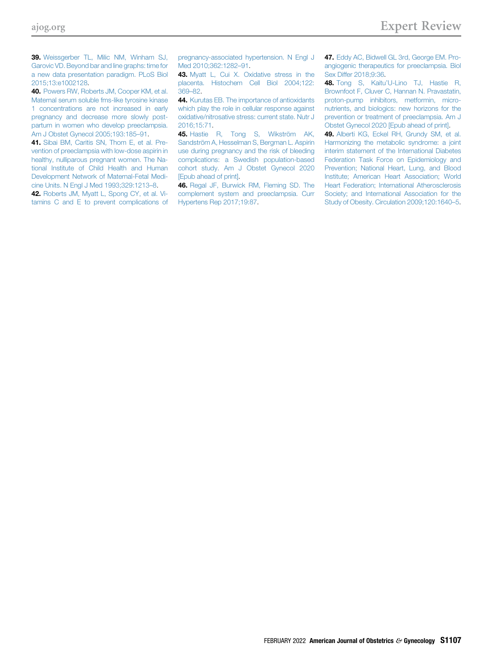<span id="page-5-0"></span>39. [Weissgerber TL, Milic NM, Winham SJ,](http://refhub.elsevier.com/S0002-9378(20)31277-1/sref39) [Garovic VD. Beyond bar and line graphs: time for](http://refhub.elsevier.com/S0002-9378(20)31277-1/sref39) [a new data presentation paradigm. PLoS Biol](http://refhub.elsevier.com/S0002-9378(20)31277-1/sref39) [2015;13:e1002128](http://refhub.elsevier.com/S0002-9378(20)31277-1/sref39).

<span id="page-5-1"></span>40. [Powers RW, Roberts JM, Cooper KM, et al.](http://refhub.elsevier.com/S0002-9378(20)31277-1/sref40) [Maternal serum soluble fms-like tyrosine kinase](http://refhub.elsevier.com/S0002-9378(20)31277-1/sref40) [1 concentrations are not increased in early](http://refhub.elsevier.com/S0002-9378(20)31277-1/sref40) [pregnancy and decrease more slowly post](http://refhub.elsevier.com/S0002-9378(20)31277-1/sref40)[partum in women who develop preeclampsia.](http://refhub.elsevier.com/S0002-9378(20)31277-1/sref40) [Am J Obstet Gynecol 2005;193:185](http://refhub.elsevier.com/S0002-9378(20)31277-1/sref40)–91.

<span id="page-5-2"></span>41. [Sibai BM, Caritis SN, Thom E, et al. Pre](http://refhub.elsevier.com/S0002-9378(20)31277-1/sref41)[vention of preeclampsia with low-dose aspirin in](http://refhub.elsevier.com/S0002-9378(20)31277-1/sref41) [healthy, nulliparous pregnant women. The Na](http://refhub.elsevier.com/S0002-9378(20)31277-1/sref41)[tional Institute of Child Health and Human](http://refhub.elsevier.com/S0002-9378(20)31277-1/sref41) [Development Network of Maternal-Fetal Medi](http://refhub.elsevier.com/S0002-9378(20)31277-1/sref41)[cine Units. N Engl J Med 1993;329:1213](http://refhub.elsevier.com/S0002-9378(20)31277-1/sref41)–8.

<span id="page-5-3"></span>42. [Roberts JM, Myatt L, Spong CY, et al. Vi](http://refhub.elsevier.com/S0002-9378(20)31277-1/sref42)[tamins C and E to prevent complications of](http://refhub.elsevier.com/S0002-9378(20)31277-1/sref42) [pregnancy-associated hypertension. N Engl J](http://refhub.elsevier.com/S0002-9378(20)31277-1/sref42) [Med 2010;362:1282](http://refhub.elsevier.com/S0002-9378(20)31277-1/sref42)–91.

<span id="page-5-4"></span>43. [Myatt L, Cui X. Oxidative stress in the](http://refhub.elsevier.com/S0002-9378(20)31277-1/sref43) [placenta. Histochem Cell Biol 2004;122:](http://refhub.elsevier.com/S0002-9378(20)31277-1/sref43) [369](http://refhub.elsevier.com/S0002-9378(20)31277-1/sref43)–82.

<span id="page-5-5"></span>44. [Kurutas EB. The importance of antioxidants](http://refhub.elsevier.com/S0002-9378(20)31277-1/sref44) [which play the role in cellular response against](http://refhub.elsevier.com/S0002-9378(20)31277-1/sref44) [oxidative/nitrosative stress: current state. Nutr J](http://refhub.elsevier.com/S0002-9378(20)31277-1/sref44) [2016;15:71.](http://refhub.elsevier.com/S0002-9378(20)31277-1/sref44)

<span id="page-5-6"></span>45. [Hastie R, Tong S, Wikström AK,](http://refhub.elsevier.com/S0002-9378(20)31277-1/sref45) [Sandström A, Hesselman S, Bergman L. Aspirin](http://refhub.elsevier.com/S0002-9378(20)31277-1/sref45) [use during pregnancy and the risk of bleeding](http://refhub.elsevier.com/S0002-9378(20)31277-1/sref45) [complications: a Swedish population-based](http://refhub.elsevier.com/S0002-9378(20)31277-1/sref45) [cohort study. Am J Obstet Gynecol 2020](http://refhub.elsevier.com/S0002-9378(20)31277-1/sref45) [\[Epub ahead of print\].](http://refhub.elsevier.com/S0002-9378(20)31277-1/sref45)

<span id="page-5-7"></span>46. [Regal JF, Burwick RM, Fleming SD. The](http://refhub.elsevier.com/S0002-9378(20)31277-1/sref46) [complement system and preeclampsia. Curr](http://refhub.elsevier.com/S0002-9378(20)31277-1/sref46) [Hypertens Rep 2017;19:87.](http://refhub.elsevier.com/S0002-9378(20)31277-1/sref46)

<span id="page-5-8"></span>47. [Eddy AC, Bidwell GL 3rd, George EM. Pro](http://refhub.elsevier.com/S0002-9378(20)31277-1/sref47)[angiogenic therapeutics for preeclampsia. Biol](http://refhub.elsevier.com/S0002-9378(20)31277-1/sref47) [Sex Differ 2018;9:36](http://refhub.elsevier.com/S0002-9378(20)31277-1/sref47).

<span id="page-5-9"></span>48. Tong S, Kaitu'[U-Lino TJ, Hastie R,](http://refhub.elsevier.com/S0002-9378(20)31277-1/sref48) [Brownfoot F, Cluver C, Hannan N. Pravastatin,](http://refhub.elsevier.com/S0002-9378(20)31277-1/sref48) [proton-pump inhibitors, metformin, micro](http://refhub.elsevier.com/S0002-9378(20)31277-1/sref48)[nutrients, and biologics: new horizons for the](http://refhub.elsevier.com/S0002-9378(20)31277-1/sref48) [prevention or treatment of preeclampsia. Am J](http://refhub.elsevier.com/S0002-9378(20)31277-1/sref48) [Obstet Gynecol 2020 \[Epub ahead of print\].](http://refhub.elsevier.com/S0002-9378(20)31277-1/sref48)

<span id="page-5-10"></span>49. [Alberti KG, Eckel RH, Grundy SM, et al.](http://refhub.elsevier.com/S0002-9378(20)31277-1/sref49) [Harmonizing the metabolic syndrome: a joint](http://refhub.elsevier.com/S0002-9378(20)31277-1/sref49) [interim statement of the International Diabetes](http://refhub.elsevier.com/S0002-9378(20)31277-1/sref49) [Federation Task Force on Epidemiology and](http://refhub.elsevier.com/S0002-9378(20)31277-1/sref49) [Prevention; National Heart, Lung, and Blood](http://refhub.elsevier.com/S0002-9378(20)31277-1/sref49) [Institute; American Heart Association; World](http://refhub.elsevier.com/S0002-9378(20)31277-1/sref49) [Heart Federation; International Atherosclerosis](http://refhub.elsevier.com/S0002-9378(20)31277-1/sref49) [Society; and International Association for the](http://refhub.elsevier.com/S0002-9378(20)31277-1/sref49) [Study of Obesity. Circulation 2009;120:1640](http://refhub.elsevier.com/S0002-9378(20)31277-1/sref49)–5.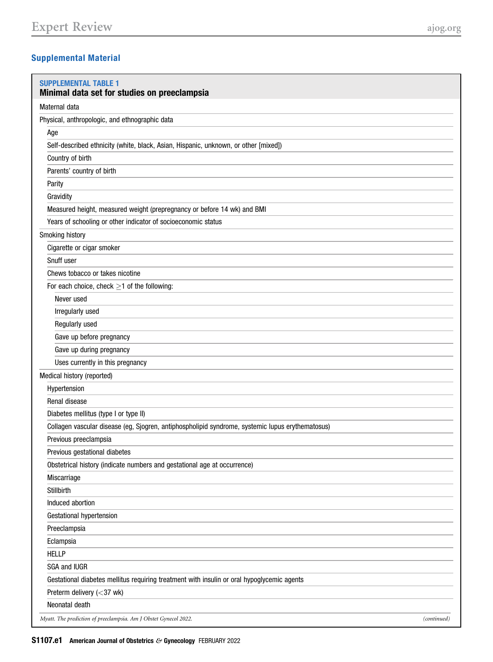# Supplemental Material

<span id="page-6-0"></span>

| <b>SUPPLEMENTAL TABLE 1</b><br>Minimal data set for studies on preeclampsia                      |             |
|--------------------------------------------------------------------------------------------------|-------------|
| Maternal data                                                                                    |             |
| Physical, anthropologic, and ethnographic data                                                   |             |
| Age                                                                                              |             |
| Self-described ethnicity (white, black, Asian, Hispanic, unknown, or other [mixed])              |             |
| Country of birth                                                                                 |             |
| Parents' country of birth                                                                        |             |
| Parity                                                                                           |             |
| Gravidity                                                                                        |             |
| Measured height, measured weight (prepregnancy or before 14 wk) and BMI                          |             |
| Years of schooling or other indicator of socioeconomic status                                    |             |
| Smoking history                                                                                  |             |
| Cigarette or cigar smoker                                                                        |             |
| Snuff user                                                                                       |             |
| Chews tobacco or takes nicotine                                                                  |             |
| For each choice, check $\geq$ 1 of the following:                                                |             |
| Never used                                                                                       |             |
| Irregularly used                                                                                 |             |
| Regularly used                                                                                   |             |
| Gave up before pregnancy                                                                         |             |
| Gave up during pregnancy                                                                         |             |
| Uses currently in this pregnancy                                                                 |             |
| Medical history (reported)                                                                       |             |
| Hypertension                                                                                     |             |
| Renal disease                                                                                    |             |
| Diabetes mellitus (type I or type II)                                                            |             |
| Collagen vascular disease (eg, Sjogren, antiphospholipid syndrome, systemic lupus erythematosus) |             |
| Previous preeclampsia                                                                            |             |
| Previous gestational diabetes                                                                    |             |
| Obstetrical history (indicate numbers and gestational age at occurrence)                         |             |
| Miscarriage                                                                                      |             |
| Stillbirth                                                                                       |             |
| Induced abortion                                                                                 |             |
| Gestational hypertension                                                                         |             |
| Preeclampsia                                                                                     |             |
| Eclampsia                                                                                        |             |
| <b>HELLP</b>                                                                                     |             |
| <b>SGA and IUGR</b>                                                                              |             |
| Gestational diabetes mellitus requiring treatment with insulin or oral hypoglycemic agents       |             |
| Preterm delivery (<37 wk)                                                                        |             |
| Neonatal death                                                                                   |             |
| Myatt. The prediction of preeclampsia. Am J Obstet Gynecol 2022.                                 | (continued) |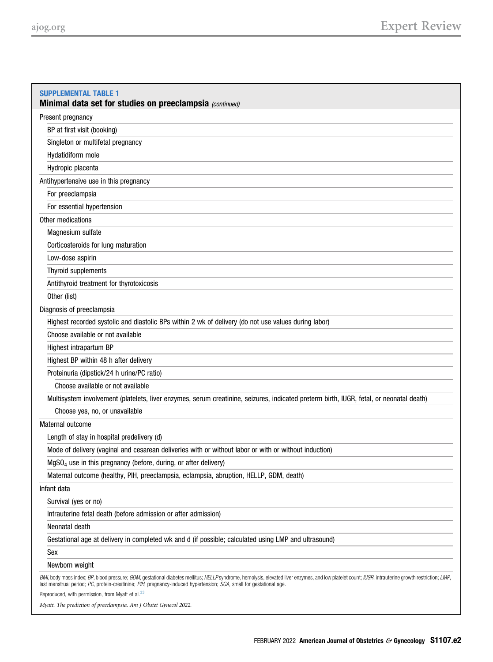| <b>SUPPLEMENTAL TABLE 1</b><br>Minimal data set for studies on preeclampsia (continued)                                                                                                                                                                                                                                                                                                     |
|---------------------------------------------------------------------------------------------------------------------------------------------------------------------------------------------------------------------------------------------------------------------------------------------------------------------------------------------------------------------------------------------|
| Present pregnancy                                                                                                                                                                                                                                                                                                                                                                           |
| BP at first visit (booking)                                                                                                                                                                                                                                                                                                                                                                 |
| Singleton or multifetal pregnancy                                                                                                                                                                                                                                                                                                                                                           |
| Hydatidiform mole                                                                                                                                                                                                                                                                                                                                                                           |
| Hydropic placenta                                                                                                                                                                                                                                                                                                                                                                           |
| Antihypertensive use in this pregnancy                                                                                                                                                                                                                                                                                                                                                      |
| For preeclampsia                                                                                                                                                                                                                                                                                                                                                                            |
| For essential hypertension                                                                                                                                                                                                                                                                                                                                                                  |
| Other medications                                                                                                                                                                                                                                                                                                                                                                           |
| Magnesium sulfate                                                                                                                                                                                                                                                                                                                                                                           |
| Corticosteroids for lung maturation                                                                                                                                                                                                                                                                                                                                                         |
| Low-dose aspirin                                                                                                                                                                                                                                                                                                                                                                            |
| Thyroid supplements                                                                                                                                                                                                                                                                                                                                                                         |
| Antithyroid treatment for thyrotoxicosis                                                                                                                                                                                                                                                                                                                                                    |
| Other (list)                                                                                                                                                                                                                                                                                                                                                                                |
| Diagnosis of preeclampsia                                                                                                                                                                                                                                                                                                                                                                   |
| Highest recorded systolic and diastolic BPs within 2 wk of delivery (do not use values during labor)                                                                                                                                                                                                                                                                                        |
| Choose available or not available                                                                                                                                                                                                                                                                                                                                                           |
| Highest intrapartum BP                                                                                                                                                                                                                                                                                                                                                                      |
| Highest BP within 48 h after delivery                                                                                                                                                                                                                                                                                                                                                       |
| Proteinuria (dipstick/24 h urine/PC ratio)                                                                                                                                                                                                                                                                                                                                                  |
| Choose available or not available                                                                                                                                                                                                                                                                                                                                                           |
| Multisystem involvement (platelets, liver enzymes, serum creatinine, seizures, indicated preterm birth, IUGR, fetal, or neonatal death)                                                                                                                                                                                                                                                     |
| Choose yes, no, or unavailable                                                                                                                                                                                                                                                                                                                                                              |
| Maternal outcome                                                                                                                                                                                                                                                                                                                                                                            |
| Length of stay in hospital predelivery (d)                                                                                                                                                                                                                                                                                                                                                  |
| Mode of delivery (vaginal and cesarean deliveries with or without labor or with or without induction)                                                                                                                                                                                                                                                                                       |
| MgSO <sub>4</sub> use in this pregnancy (before, during, or after delivery)                                                                                                                                                                                                                                                                                                                 |
| Maternal outcome (healthy, PIH, preeclampsia, eclampsia, abruption, HELLP, GDM, death)                                                                                                                                                                                                                                                                                                      |
| Infant data                                                                                                                                                                                                                                                                                                                                                                                 |
| Survival (yes or no)                                                                                                                                                                                                                                                                                                                                                                        |
| Intrauterine fetal death (before admission or after admission)                                                                                                                                                                                                                                                                                                                              |
| Neonatal death                                                                                                                                                                                                                                                                                                                                                                              |
| Gestational age at delivery in completed wk and d (if possible; calculated using LMP and ultrasound)                                                                                                                                                                                                                                                                                        |
| Sex                                                                                                                                                                                                                                                                                                                                                                                         |
| Newborn weight                                                                                                                                                                                                                                                                                                                                                                              |
| BMI, body mass index; BP, blood pressure; GDM, gestational diabetes mellitus; HELLP syndrome, hemolysis, elevated liver enzymes, and low platelet count; IUGR, intrauterine growth restriction; LMP,<br>last menstrual period; PC, protein-creatinine; PIH, pregnancy-induced hypertension; SGA, small for gestational age.<br>Reproduced, with permission, from Myatt et al. <sup>33</sup> |

Myatt. The prediction of preeclampsia. Am J Obstet Gynecol 2022.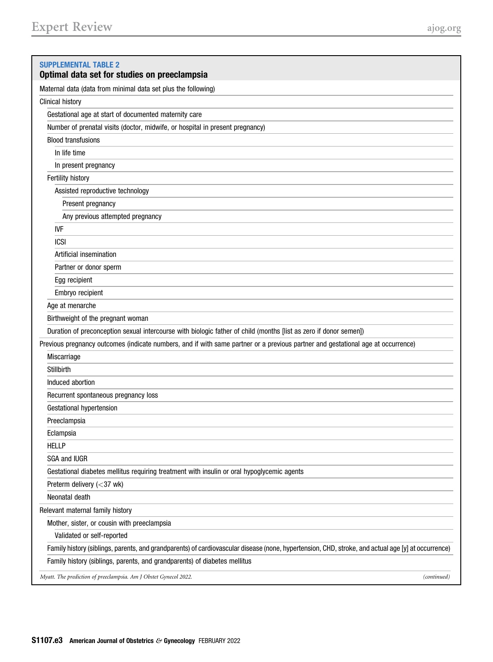<span id="page-8-0"></span>

| <b>SUPPLEMENTAL TABLE 2</b><br>Optimal data set for studies on preeclampsia                                                                        |
|----------------------------------------------------------------------------------------------------------------------------------------------------|
| Maternal data (data from minimal data set plus the following)                                                                                      |
| <b>Clinical history</b>                                                                                                                            |
| Gestational age at start of documented maternity care                                                                                              |
| Number of prenatal visits (doctor, midwife, or hospital in present pregnancy)                                                                      |
| <b>Blood transfusions</b>                                                                                                                          |
| In life time                                                                                                                                       |
| In present pregnancy                                                                                                                               |
| Fertility history                                                                                                                                  |
| Assisted reproductive technology                                                                                                                   |
| Present pregnancy                                                                                                                                  |
| Any previous attempted pregnancy                                                                                                                   |
| IVF                                                                                                                                                |
| <b>ICSI</b>                                                                                                                                        |
| Artificial insemination                                                                                                                            |
| Partner or donor sperm                                                                                                                             |
| Egg recipient                                                                                                                                      |
| Embryo recipient                                                                                                                                   |
| Age at menarche                                                                                                                                    |
| Birthweight of the pregnant woman                                                                                                                  |
| Duration of preconception sexual intercourse with biologic father of child (months [list as zero if donor semen])                                  |
| Previous pregnancy outcomes (indicate numbers, and if with same partner or a previous partner and gestational age at occurrence)                   |
| Miscarriage                                                                                                                                        |
| Stillbirth                                                                                                                                         |
| Induced abortion                                                                                                                                   |
| Recurrent spontaneous pregnancy loss                                                                                                               |
| Gestational hypertension                                                                                                                           |
| Preeclampsia                                                                                                                                       |
| Eclampsia                                                                                                                                          |
| <b>HELLP</b>                                                                                                                                       |
| SGA and IUGR                                                                                                                                       |
| Gestational diabetes mellitus requiring treatment with insulin or oral hypoglycemic agents                                                         |
| Preterm delivery (<37 wk)                                                                                                                          |
| Neonatal death                                                                                                                                     |
| Relevant maternal family history                                                                                                                   |
| Mother, sister, or cousin with preeclampsia                                                                                                        |
| Validated or self-reported                                                                                                                         |
| Family history (siblings, parents, and grandparents) of cardiovascular disease (none, hypertension, CHD, stroke, and actual age [y] at occurrence) |
| Family history (siblings, parents, and grandparents) of diabetes mellitus                                                                          |
| Myatt. The prediction of preeclampsia. Am J Obstet Gynecol 2022.<br>(continued)                                                                    |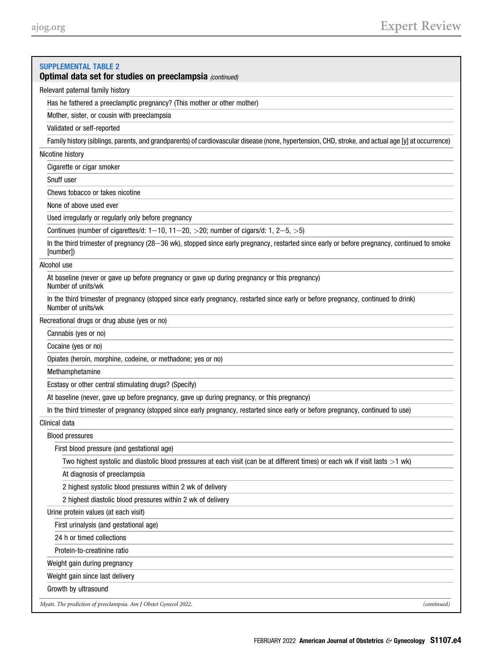| <b>SUPPLEMENTAL TABLE 2</b><br><b>Optimal data set for studies on preeclampsia (continued)</b>                                                           |
|----------------------------------------------------------------------------------------------------------------------------------------------------------|
| Relevant paternal family history                                                                                                                         |
| Has he fathered a preeclamptic pregnancy? (This mother or other mother)                                                                                  |
| Mother, sister, or cousin with preeclampsia                                                                                                              |
| Validated or self-reported                                                                                                                               |
| Family history (siblings, parents, and grandparents) of cardiovascular disease (none, hypertension, CHD, stroke, and actual age [y] at occurrence)       |
| Nicotine history                                                                                                                                         |
| Cigarette or cigar smoker                                                                                                                                |
| Snuff user                                                                                                                                               |
| Chews tobacco or takes nicotine                                                                                                                          |
| None of above used ever                                                                                                                                  |
| Used irregularly or regularly only before pregnancy                                                                                                      |
| Continues (number of cigarettes/d: $1-10$ , $11-20$ , $>20$ ; number of cigars/d: 1, $2-5$ , $>5$ )                                                      |
| In the third trimester of pregnancy (28-36 wk), stopped since early pregnancy, restarted since early or before pregnancy, continued to smoke             |
| [number])                                                                                                                                                |
| Alcohol use                                                                                                                                              |
| At baseline (never or gave up before pregnancy or gave up during pregnancy or this pregnancy)<br>Number of units/wk                                      |
| In the third trimester of pregnancy (stopped since early pregnancy, restarted since early or before pregnancy, continued to drink)<br>Number of units/wk |
| Recreational drugs or drug abuse (yes or no)                                                                                                             |
| Cannabis (yes or no)                                                                                                                                     |
| Cocaine (yes or no)                                                                                                                                      |
| Opiates (heroin, morphine, codeine, or methadone; yes or no)                                                                                             |
| Methamphetamine                                                                                                                                          |
| Ecstasy or other central stimulating drugs? (Specify)                                                                                                    |
| At baseline (never, gave up before pregnancy, gave up during pregnancy, or this pregnancy)                                                               |
| In the third trimester of pregnancy (stopped since early pregnancy, restarted since early or before pregnancy, continued to use)                         |
| Clinical data                                                                                                                                            |
| <b>Blood pressures</b>                                                                                                                                   |
| First blood pressure (and gestational age)                                                                                                               |
| Two highest systolic and diastolic blood pressures at each visit (can be at different times) or each wk if visit lasts $>1$ wk)                          |
| At diagnosis of preeclampsia                                                                                                                             |
| 2 highest systolic blood pressures within 2 wk of delivery                                                                                               |
| 2 highest diastolic blood pressures within 2 wk of delivery                                                                                              |
| Urine protein values (at each visit)                                                                                                                     |
| First urinalysis (and gestational age)                                                                                                                   |
| 24 h or timed collections                                                                                                                                |
| Protein-to-creatinine ratio                                                                                                                              |
| Weight gain during pregnancy                                                                                                                             |
| Weight gain since last delivery                                                                                                                          |
| Growth by ultrasound                                                                                                                                     |
| Myatt. The prediction of preeclampsia. Am J Obstet Gynecol 2022.<br>(continued)                                                                          |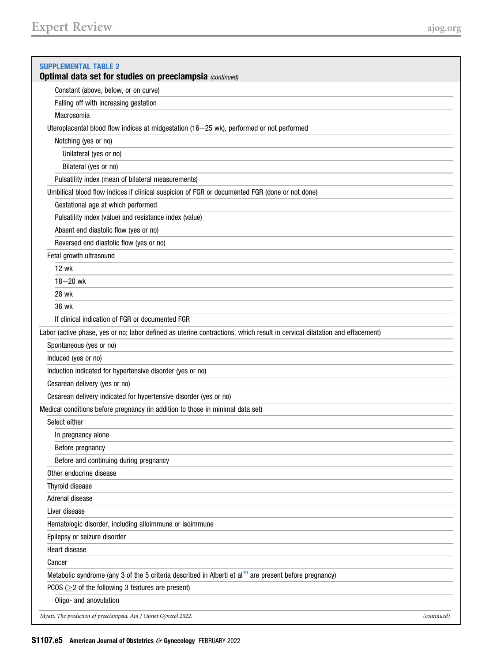| <b>SUPPLEMENTAL TABLE 2</b>                                                                                                |
|----------------------------------------------------------------------------------------------------------------------------|
| Optimal data set for studies on preeclampsia (continued)                                                                   |
| Constant (above, below, or on curve)                                                                                       |
| Falling off with increasing gestation                                                                                      |
| Macrosomia                                                                                                                 |
| Uteroplacental blood flow indices at midgestation (16-25 wk), performed or not performed                                   |
| Notching (yes or no)                                                                                                       |
| Unilateral (yes or no)                                                                                                     |
| Bilateral (yes or no)                                                                                                      |
| Pulsatility index (mean of bilateral measurements)                                                                         |
| Umbilical blood flow indices if clinical suspicion of FGR or documented FGR (done or not done)                             |
| Gestational age at which performed                                                                                         |
| Pulsatility index (value) and resistance index (value)                                                                     |
| Absent end diastolic flow (yes or no)                                                                                      |
| Reversed end diastolic flow (yes or no)                                                                                    |
| Fetal growth ultrasound                                                                                                    |
| 12 wk                                                                                                                      |
| $18 - 20$ wk                                                                                                               |
| 28 wk                                                                                                                      |
| 36 wk                                                                                                                      |
| If clinical indication of FGR or documented FGR                                                                            |
| Labor (active phase, yes or no; labor defined as uterine contractions, which result in cervical dilatation and effacement) |
| Spontaneous (yes or no)                                                                                                    |
| Induced (yes or no)                                                                                                        |
| Induction indicated for hypertensive disorder (yes or no)                                                                  |
| Cesarean delivery (yes or no)                                                                                              |
| Cesarean delivery indicated for hypertensive disorder (yes or no)                                                          |
| Medical conditions before pregnancy (in addition to those in minimal data set)                                             |
| Select either                                                                                                              |
| In pregnancy alone                                                                                                         |
| Before pregnancy                                                                                                           |
| Before and continuing during pregnancy                                                                                     |
| Other endocrine disease                                                                                                    |
| Thyroid disease                                                                                                            |
| Adrenal disease                                                                                                            |
| Liver disease                                                                                                              |
| Hematologic disorder, including alloimmune or isoimmune                                                                    |
| Epilepsy or seizure disorder                                                                                               |
| Heart disease                                                                                                              |
| Cancer                                                                                                                     |
| Metabolic syndrome (any 3 of the 5 criteria described in Alberti et al <sup>49</sup> are present before pregnancy)         |
| PCOS ( $\geq$ 2 of the following 3 features are present)                                                                   |
| Oligo- and anovulation                                                                                                     |
|                                                                                                                            |
| Myatt. The prediction of preeclampsia. Am J Obstet Gynecol 2022.<br>(continued)                                            |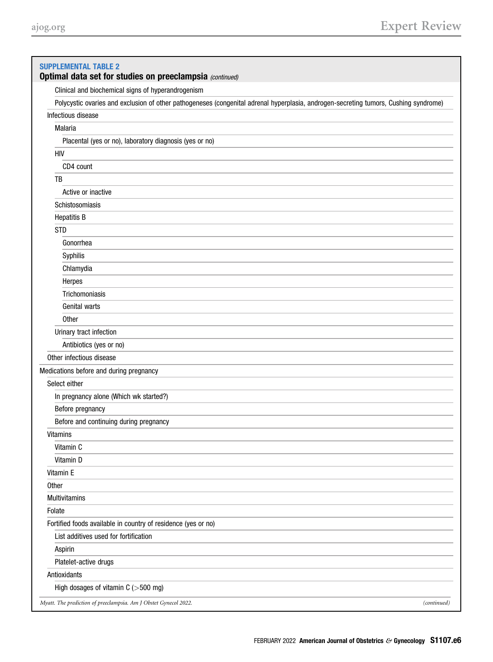| <b>SUPPLEMENTAL TABLE 2</b><br>Optimal data set for studies on preeclampsia (continued)                                              |
|--------------------------------------------------------------------------------------------------------------------------------------|
| Clinical and biochemical signs of hyperandrogenism                                                                                   |
| Polycystic ovaries and exclusion of other pathogeneses (congenital adrenal hyperplasia, androgen-secreting tumors, Cushing syndrome) |
| Infectious disease                                                                                                                   |
| Malaria                                                                                                                              |
| Placental (yes or no), laboratory diagnosis (yes or no)                                                                              |
| <b>HIV</b>                                                                                                                           |
| CD4 count                                                                                                                            |
| TB                                                                                                                                   |
| Active or inactive                                                                                                                   |
| Schistosomiasis                                                                                                                      |
| <b>Hepatitis B</b>                                                                                                                   |
| <b>STD</b>                                                                                                                           |
| Gonorrhea                                                                                                                            |
| Syphilis                                                                                                                             |
| Chlamydia                                                                                                                            |
| Herpes                                                                                                                               |
| Trichomoniasis                                                                                                                       |
| Genital warts                                                                                                                        |
| Other                                                                                                                                |
| Urinary tract infection                                                                                                              |
| Antibiotics (yes or no)                                                                                                              |
| Other infectious disease                                                                                                             |
| Medications before and during pregnancy                                                                                              |
| Select either                                                                                                                        |
| In pregnancy alone (Which wk started?)                                                                                               |
| Before pregnancy                                                                                                                     |
| Before and continuing during pregnancy                                                                                               |
| <b>Vitamins</b>                                                                                                                      |
| Vitamin C                                                                                                                            |
| Vitamin D                                                                                                                            |
| Vitamin E                                                                                                                            |
|                                                                                                                                      |
| Other                                                                                                                                |
| <b>Multivitamins</b>                                                                                                                 |
| Folate                                                                                                                               |
| Fortified foods available in country of residence (yes or no)                                                                        |
| List additives used for fortification                                                                                                |
| Aspirin                                                                                                                              |
| Platelet-active drugs                                                                                                                |
| Antioxidants                                                                                                                         |
| High dosages of vitamin $C$ ( $>500$ mg)                                                                                             |
| Myatt. The prediction of preeclampsia. Am J Obstet Gynecol 2022.<br>(continued)                                                      |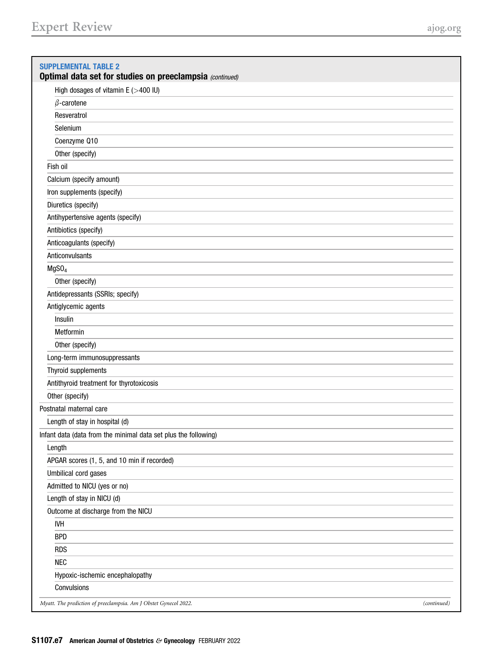| <b>SUPPLEMENTAL TABLE 2</b><br>Optimal data set for studies on preeclampsia (continued) |
|-----------------------------------------------------------------------------------------|
| High dosages of vitamin $E$ ( $>$ 400 IU)                                               |
| $\beta$ -carotene                                                                       |
| Resveratrol                                                                             |
| Selenium                                                                                |
| Coenzyme Q10                                                                            |
| Other (specify)                                                                         |
| Fish oil                                                                                |
| Calcium (specify amount)                                                                |
| Iron supplements (specify)                                                              |
| Diuretics (specify)                                                                     |
| Antihypertensive agents (specify)                                                       |
| Antibiotics (specify)                                                                   |
| Anticoagulants (specify)                                                                |
| Anticonvulsants                                                                         |
| MgSO <sub>4</sub>                                                                       |
| Other (specify)                                                                         |
| Antidepressants (SSRIs; specify)                                                        |
| Antiglycemic agents                                                                     |
| Insulin                                                                                 |
| Metformin                                                                               |
| Other (specify)                                                                         |
| Long-term immunosuppressants                                                            |
| Thyroid supplements                                                                     |
| Antithyroid treatment for thyrotoxicosis                                                |
| Other (specify)                                                                         |
| Postnatal maternal care                                                                 |
| Length of stay in hospital (d)                                                          |
| Infant data (data from the minimal data set plus the following)                         |
| Length                                                                                  |
| APGAR scores (1, 5, and 10 min if recorded)                                             |
| Umbilical cord gases                                                                    |
| Admitted to NICU (yes or no)                                                            |
| Length of stay in NICU (d)                                                              |
| Outcome at discharge from the NICU                                                      |
| <b>IVH</b>                                                                              |
| <b>BPD</b>                                                                              |
| <b>RDS</b>                                                                              |
| <b>NEC</b>                                                                              |
| Hypoxic-ischemic encephalopathy                                                         |
| Convulsions                                                                             |
| Myatt. The prediction of preeclampsia. Am J Obstet Gynecol 2022.<br>(continued)         |